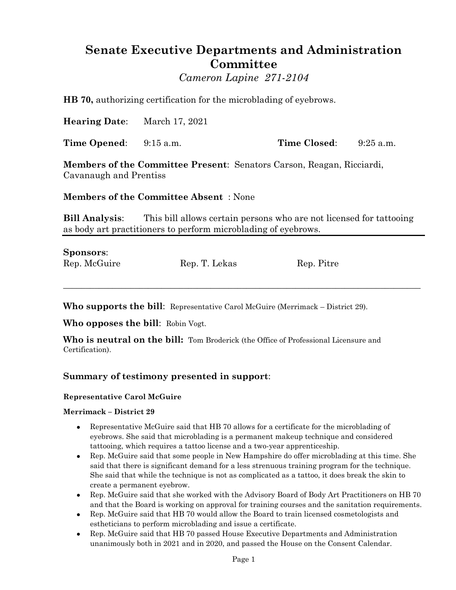# **Senate Executive Departments and Administration Committee**

*Cameron Lapine 271-2104*

**HB 70,** authorizing certification for the microblading of eyebrows.

**Hearing Date**: March 17, 2021

**Time Opened**: 9:15 a.m. **Time Closed**: 9:25 a.m.

**Members of the Committee Present**: Senators Carson, Reagan, Ricciardi, Cavanaugh and Prentiss

**Members of the Committee Absent** : None

**Bill Analysis**: This bill allows certain persons who are not licensed for tattooing as body art practitioners to perform microblading of eyebrows.

\_\_\_\_\_\_\_\_\_\_\_\_\_\_\_\_\_\_\_\_\_\_\_\_\_\_\_\_\_\_\_\_\_\_\_\_\_\_\_\_\_\_\_\_\_\_\_\_\_\_\_\_\_\_\_\_\_\_\_\_\_\_\_\_\_\_\_\_\_\_\_\_\_\_\_\_\_\_\_\_

## **Sponsors**:

| Rep. McGuire<br>Rep. T. Lekas<br>Rep. Pitre |  |
|---------------------------------------------|--|

**Who supports the bill**: Representative Carol McGuire (Merrimack – District 29).

**Who opposes the bill**: Robin Vogt.

**Who is neutral on the bill:** Tom Broderick (the Office of Professional Licensure and Certification).

# **Summary of testimony presented in support**:

#### **Representative Carol McGuire**

#### **Merrimack – District 29**

- Representative McGuire said that HB 70 allows for a certificate for the microblading of eyebrows. She said that microblading is a permanent makeup technique and considered tattooing, which requires a tattoo license and a two-year apprenticeship.
- Rep. McGuire said that some people in New Hampshire do offer microblading at this time. She said that there is significant demand for a less strenuous training program for the technique. She said that while the technique is not as complicated as a tattoo, it does break the skin to create a permanent eyebrow.
- Rep. McGuire said that she worked with the Advisory Board of Body Art Practitioners on HB 70 and that the Board is working on approval for training courses and the sanitation requirements.
- Rep. McGuire said that HB 70 would allow the Board to train licensed cosmetologists and estheticians to perform microblading and issue a certificate.
- Rep. McGuire said that HB 70 passed House Executive Departments and Administration unanimously both in 2021 and in 2020, and passed the House on the Consent Calendar.